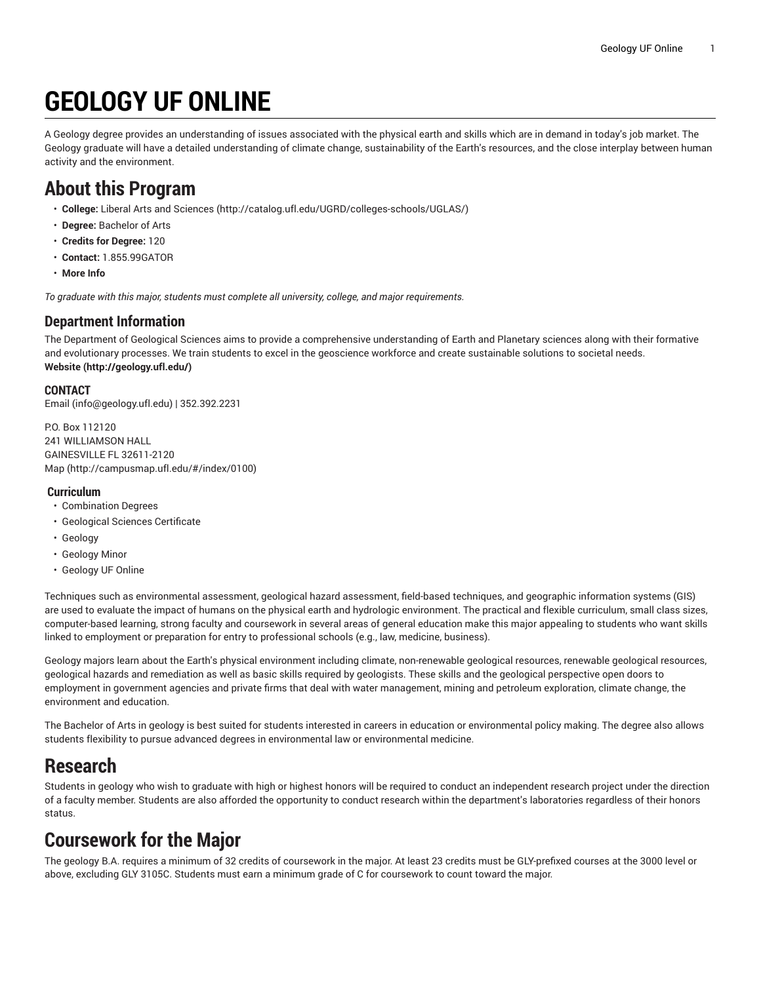# **GEOLOGY UF ONLINE**

A Geology degree provides an understanding of issues associated with the physical earth and skills which are in demand in today's job market. The Geology graduate will have a detailed understanding of climate change, sustainability of the Earth's resources, and the close interplay between human activity and the environment.

# **About this Program**

- **College:** Liberal Arts and [Sciences](http://catalog.ufl.edu/UGRD/colleges-schools/UGLAS/) ([http://catalog.ufl.edu/UGRD/colleges-schools/UGLAS/\)](http://catalog.ufl.edu/UGRD/colleges-schools/UGLAS/)
- **Degree:** Bachelor of Arts
- **Credits for Degree:** 120
- **Contact:** 1.855.99GATOR
- **More Info**

*To graduate with this major, students must complete all university, college, and major requirements.*

### **Department Information**

The Department of Geological Sciences aims to provide a comprehensive understanding of Earth and Planetary sciences along with their formative and evolutionary processes. We train students to excel in the geoscience workforce and create sustainable solutions to societal needs. **[Website](http://geology.ufl.edu/) ([http://geology.ufl.edu/\)](http://geology.ufl.edu/)**

#### **CONTACT**

[Email](mailto:info@geology.ufl.edu) (<info@geology.ufl.edu>) | 352.392.2231

P.O. Box 112120 241 WILLIAMSON HALL GAINESVILLE FL 32611-2120 [Map](http://campusmap.ufl.edu/#/index/0100) ([http://campusmap.ufl.edu/#/index/0100\)](http://campusmap.ufl.edu/#/index/0100)

#### **Curriculum**

- Combination Degrees
- Geological Sciences Certificate
- Geology
- Geology Minor
- Geology UF Online

Techniques such as environmental assessment, geological hazard assessment, field-based techniques, and geographic information systems (GIS) are used to evaluate the impact of humans on the physical earth and hydrologic environment. The practical and flexible curriculum, small class sizes, computer-based learning, strong faculty and coursework in several areas of general education make this major appealing to students who want skills linked to employment or preparation for entry to professional schools (e.g., law, medicine, business).

Geology majors learn about the Earth's physical environment including climate, non-renewable geological resources, renewable geological resources, geological hazards and remediation as well as basic skills required by geologists. These skills and the geological perspective open doors to employment in government agencies and private firms that deal with water management, mining and petroleum exploration, climate change, the environment and education.

The Bachelor of Arts in geology is best suited for students interested in careers in education or environmental policy making. The degree also allows students flexibility to pursue advanced degrees in environmental law or environmental medicine.

# **Research**

Students in geology who wish to graduate with high or highest honors will be required to conduct an independent research project under the direction of a faculty member. Students are also afforded the opportunity to conduct research within the department's laboratories regardless of their honors status.

# **Coursework for the Major**

The geology B.A. requires a minimum of 32 credits of coursework in the major. At least 23 credits must be GLY-prefixed courses at the 3000 level or above, excluding GLY 3105C. Students must earn a minimum grade of C for coursework to count toward the major.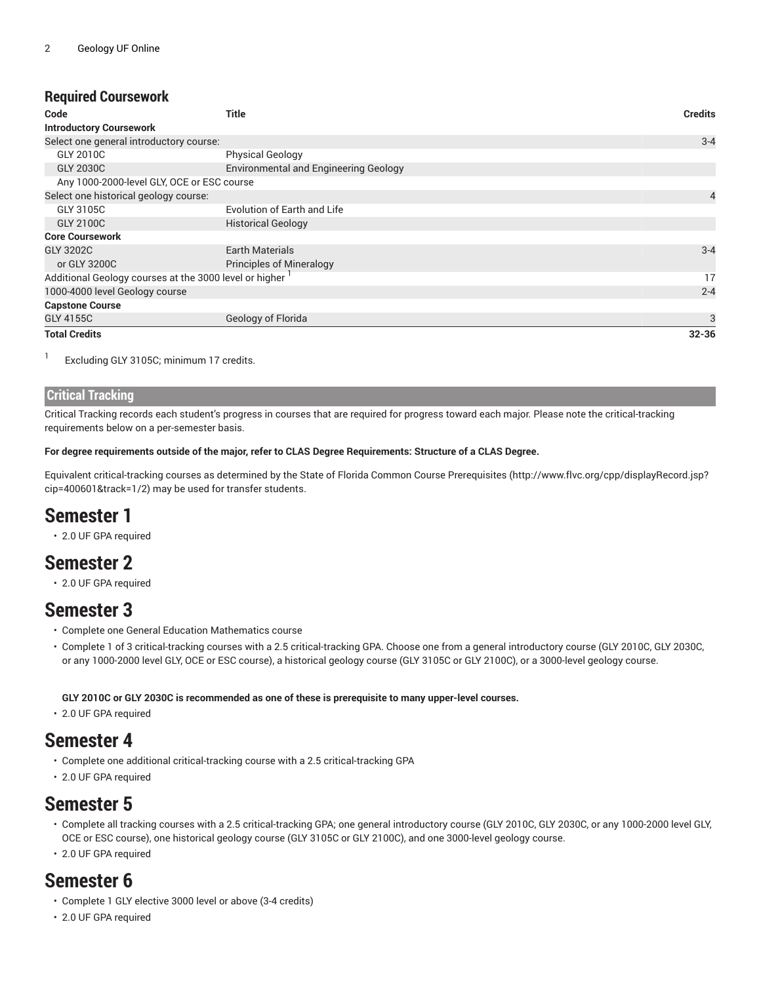### **Required Coursework**

| Code                                                   | Title                                        | <b>Credits</b> |
|--------------------------------------------------------|----------------------------------------------|----------------|
| <b>Introductory Coursework</b>                         |                                              |                |
| Select one general introductory course:                |                                              | $3 - 4$        |
| GLY 2010C                                              | <b>Physical Geology</b>                      |                |
| <b>GLY 2030C</b>                                       | <b>Environmental and Engineering Geology</b> |                |
| Any 1000-2000-level GLY, OCE or ESC course             |                                              |                |
| Select one historical geology course:                  |                                              | 4              |
| GLY 3105C                                              | Evolution of Earth and Life                  |                |
| GLY 2100C                                              | <b>Historical Geology</b>                    |                |
| <b>Core Coursework</b>                                 |                                              |                |
| GLY 3202C                                              | <b>Earth Materials</b>                       | $3 - 4$        |
| or GLY 3200C                                           | <b>Principles of Mineralogy</b>              |                |
| Additional Geology courses at the 3000 level or higher |                                              |                |
| 1000-4000 level Geology course                         |                                              | $2 - 4$        |
| <b>Capstone Course</b>                                 |                                              |                |
| GLY 4155C                                              | Geology of Florida                           | 3              |
| <b>Total Credits</b>                                   |                                              | $32 - 36$      |

1 Excluding GLY 3105C; minimum 17 credits.

#### **Critical Tracking**

Critical Tracking records each student's progress in courses that are required for progress toward each major. Please note the critical-tracking requirements below on a per-semester basis.

#### For degree requirements outside of the major, refer to CLAS Degree Requirements: Structure of a CLAS Degree.

Equivalent critical-tracking courses as determined by the State of Florida Common Course [Prerequisites](http://www.flvc.org/cpp/displayRecord.jsp?cip=400601&track=1/2) ([http://www.flvc.org/cpp/displayRecord.jsp?](http://www.flvc.org/cpp/displayRecord.jsp?cip=400601&track=1/2) [cip=400601&track=1/2](http://www.flvc.org/cpp/displayRecord.jsp?cip=400601&track=1/2)) may be used for transfer students.

# **Semester 1**

• 2.0 UF GPA required

### **Semester 2**

• 2.0 UF GPA required

### **Semester 3**

- Complete one General Education Mathematics course
- Complete 1 of 3 critical-tracking courses with a 2.5 critical-tracking GPA. Choose one from a general introductory course (GLY 2010C, GLY 2030C, or any 1000-2000 level GLY, OCE or ESC course), a historical geology course (GLY 3105C or GLY 2100C), or a 3000-level geology course.

**GLY 2010C or GLY 2030C is recommended as one of these is prerequisite to many upper-level courses.**

• 2.0 UF GPA required

### **Semester 4**

- Complete one additional critical-tracking course with a 2.5 critical-tracking GPA
- 2.0 UF GPA required

### **Semester 5**

- Complete all tracking courses with a 2.5 critical-tracking GPA; one general introductory course (GLY 2010C, GLY 2030C, or any 1000-2000 level GLY, OCE or ESC course), one historical geology course (GLY 3105C or GLY 2100C), and one 3000-level geology course.
- 2.0 UF GPA required

### **Semester 6**

- Complete 1 GLY elective 3000 level or above (3-4 credits)
- 2.0 UF GPA required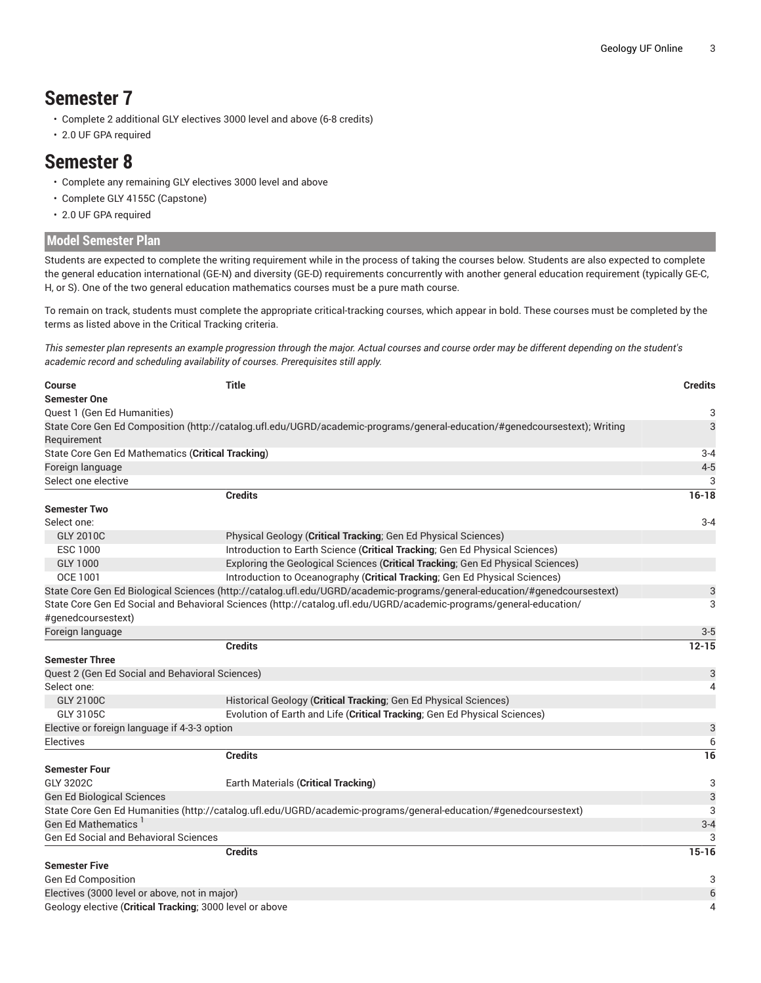# **Semester 7**

- Complete 2 additional GLY electives 3000 level and above (6-8 credits)
- 2.0 UF GPA required

### **Semester 8**

- Complete any remaining GLY electives 3000 level and above
- Complete GLY 4155C (Capstone)
- 2.0 UF GPA required

#### **Model Semester Plan**

Students are expected to complete the writing requirement while in the process of taking the courses below. Students are also expected to complete the general education international (GE-N) and diversity (GE-D) requirements concurrently with another general education requirement (typically GE-C, H, or S). One of the two general education mathematics courses must be a pure math course.

To remain on track, students must complete the appropriate critical-tracking courses, which appear in bold. These courses must be completed by the terms as listed above in the Critical Tracking criteria.

This semester plan represents an example progression through the major. Actual courses and course order may be different depending on the student's *academic record and scheduling availability of courses. Prerequisites still apply.*

| <b>Course</b>                                            | <b>Title</b>                                                                                                               | <b>Credits</b> |
|----------------------------------------------------------|----------------------------------------------------------------------------------------------------------------------------|----------------|
| <b>Semester One</b>                                      |                                                                                                                            |                |
| Quest 1 (Gen Ed Humanities)                              |                                                                                                                            | 3              |
|                                                          | State Core Gen Ed Composition (http://catalog.ufl.edu/UGRD/academic-programs/general-education/#genedcoursestext); Writing | 3              |
| Requirement                                              |                                                                                                                            |                |
| State Core Gen Ed Mathematics (Critical Tracking)        |                                                                                                                            | $3 - 4$        |
| Foreign language                                         |                                                                                                                            | $4 - 5$        |
| Select one elective                                      |                                                                                                                            | 3              |
|                                                          | <b>Credits</b>                                                                                                             | $16 - 18$      |
| <b>Semester Two</b>                                      |                                                                                                                            |                |
| Select one:                                              |                                                                                                                            | $3 - 4$        |
| <b>GLY 2010C</b>                                         | Physical Geology (Critical Tracking; Gen Ed Physical Sciences)                                                             |                |
| <b>ESC 1000</b>                                          | Introduction to Earth Science (Critical Tracking; Gen Ed Physical Sciences)                                                |                |
| GLY 1000                                                 | Exploring the Geological Sciences (Critical Tracking; Gen Ed Physical Sciences)                                            |                |
| OCE 1001                                                 | Introduction to Oceanography (Critical Tracking; Gen Ed Physical Sciences)                                                 |                |
|                                                          | State Core Gen Ed Biological Sciences (http://catalog.ufl.edu/UGRD/academic-programs/general-education/#genedcoursestext)  | 3              |
|                                                          | State Core Gen Ed Social and Behavioral Sciences (http://catalog.ufl.edu/UGRD/academic-programs/general-education/         | 3              |
| #genedcoursestext)                                       |                                                                                                                            |                |
| Foreign language                                         |                                                                                                                            | $3-5$          |
|                                                          | <b>Credits</b>                                                                                                             | $12 - 15$      |
| <b>Semester Three</b>                                    |                                                                                                                            |                |
| Quest 2 (Gen Ed Social and Behavioral Sciences)          |                                                                                                                            | 3              |
| Select one:                                              |                                                                                                                            | 4              |
| <b>GLY 2100C</b>                                         | Historical Geology (Critical Tracking; Gen Ed Physical Sciences)                                                           |                |
| GLY 3105C                                                | Evolution of Earth and Life (Critical Tracking; Gen Ed Physical Sciences)                                                  |                |
| Elective or foreign language if 4-3-3 option             |                                                                                                                            | 3              |
| <b>Electives</b>                                         |                                                                                                                            | 6              |
|                                                          | <b>Credits</b>                                                                                                             | 16             |
| <b>Semester Four</b>                                     |                                                                                                                            |                |
| GLY 3202C                                                | Earth Materials (Critical Tracking)                                                                                        | 3              |
| <b>Gen Ed Biological Sciences</b>                        |                                                                                                                            | 3              |
|                                                          | State Core Gen Ed Humanities (http://catalog.ufl.edu/UGRD/academic-programs/general-education/#genedcoursestext)           | 3              |
| <b>Gen Ed Mathematics</b>                                |                                                                                                                            | $3 - 4$        |
| <b>Gen Ed Social and Behavioral Sciences</b>             |                                                                                                                            | 3              |
|                                                          | <b>Credits</b>                                                                                                             | $15 - 16$      |
| <b>Semester Five</b>                                     |                                                                                                                            |                |
| <b>Gen Ed Composition</b>                                |                                                                                                                            | 3              |
| Electives (3000 level or above, not in major)            |                                                                                                                            | 6              |
| Geology elective (Critical Tracking; 3000 level or above |                                                                                                                            | 4              |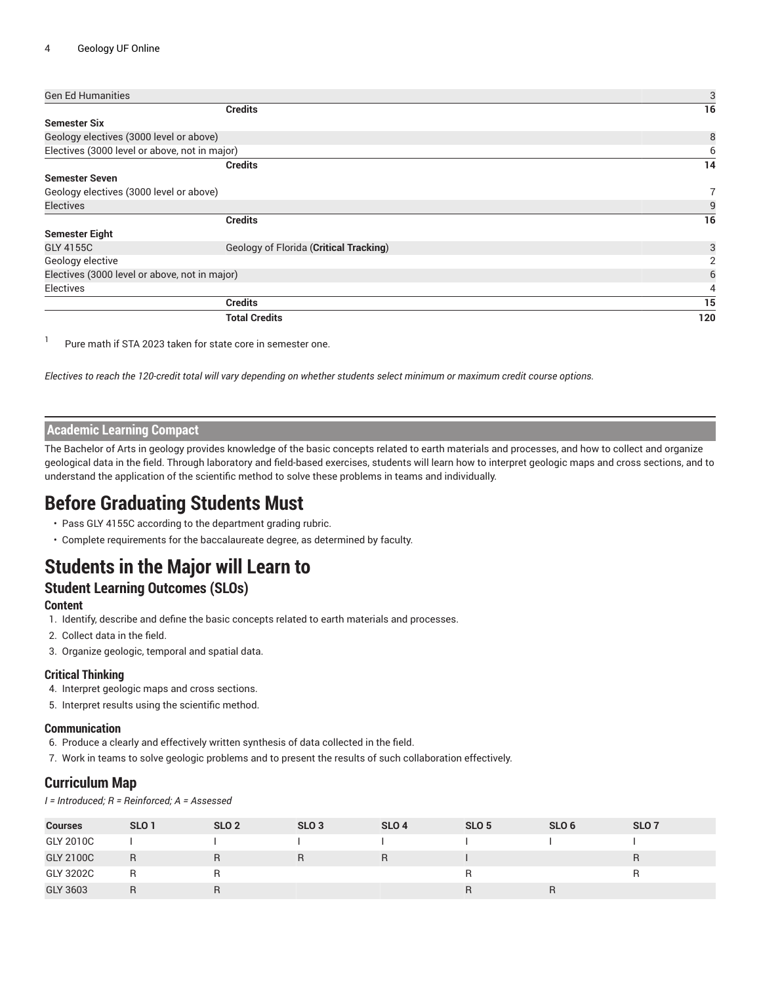| <b>Gen Ed Humanities</b>                      |                                        | 3   |
|-----------------------------------------------|----------------------------------------|-----|
|                                               | <b>Credits</b>                         | 16  |
| <b>Semester Six</b>                           |                                        |     |
| Geology electives (3000 level or above)       |                                        | 8   |
| Electives (3000 level or above, not in major) |                                        | 6   |
|                                               | <b>Credits</b>                         | 14  |
| <b>Semester Seven</b>                         |                                        |     |
| Geology electives (3000 level or above)       |                                        | 7   |
| <b>Electives</b>                              |                                        | 9   |
|                                               | <b>Credits</b>                         | 16  |
| <b>Semester Eight</b>                         |                                        |     |
| GLY 4155C                                     | Geology of Florida (Critical Tracking) | 3   |
| Geology elective                              |                                        | 2   |
| Electives (3000 level or above, not in major) |                                        | 6   |
| Electives                                     |                                        | 4   |
|                                               | <b>Credits</b>                         | 15  |
|                                               | <b>Total Credits</b>                   | 120 |

1 Pure math if STA 2023 taken for state core in semester one.

Electives to reach the 120-credit total will vary depending on whether students select minimum or maximum credit course options.

### **Academic Learning Compact**

The Bachelor of Arts in geology provides knowledge of the basic concepts related to earth materials and processes, and how to collect and organize geological data in the field. Through laboratory and field-based exercises, students will learn how to interpret geologic maps and cross sections, and to understand the application of the scientific method to solve these problems in teams and individually.

### **Before Graduating Students Must**

- Pass GLY 4155C according to the department grading rubric.
- Complete requirements for the baccalaureate degree, as determined by faculty.

# **Students in the Major will Learn to**

### **Student Learning Outcomes (SLOs)**

#### **Content**

- 1. Identify, describe and define the basic concepts related to earth materials and processes.
- 2. Collect data in the field.
- 3. Organize geologic, temporal and spatial data.

#### **Critical Thinking**

- 4. Interpret geologic maps and cross sections.
- 5. Interpret results using the scientific method.

#### **Communication**

- 6. Produce a clearly and effectively written synthesis of data collected in the field.
- 7. Work in teams to solve geologic problems and to present the results of such collaboration effectively.

### **Curriculum Map**

*I = Introduced; R = Reinforced; A = Assessed*

| <b>Courses</b>   | SLO <sub>1</sub> | SLO <sub>2</sub> | SLO <sub>3</sub> | SLO <sub>4</sub> | SLO <sub>5</sub> | SLO <sub>6</sub> | SLO <sub>7</sub> |
|------------------|------------------|------------------|------------------|------------------|------------------|------------------|------------------|
| GLY 2010C        |                  |                  |                  |                  |                  |                  |                  |
| <b>GLY 2100C</b> | R                | R                |                  | R                |                  |                  | R                |
| GLY 3202C        |                  |                  |                  |                  |                  |                  |                  |
| GLY 3603         |                  |                  |                  |                  |                  | R                |                  |